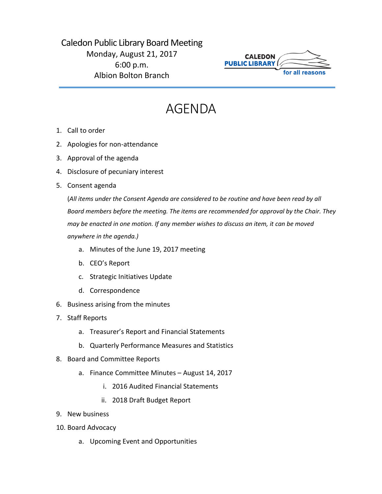## Caledon Public Library Board Meeting Monday, August 21, 2017 6:00 p.m. Albion Bolton Branch



## AGENDA

- 1. Call to order
- 2. Apologies for non-attendance
- 3. Approval of the agenda
- 4. Disclosure of pecuniary interest
- 5. Consent agenda

(*All items under the Consent Agenda are considered to be routine and have been read by all Board members before the meeting. The items are recommended for approval by the Chair. They may be enacted in one motion. If any member wishes to discuss an item, it can be moved anywhere in the agenda.)*

- a. Minutes of the June 19, 2017 meeting
- b. CEO's Report
- c. Strategic Initiatives Update
- d. Correspondence
- 6. Business arising from the minutes
- 7. Staff Reports
	- a. Treasurer's Report and Financial Statements
	- b. Quarterly Performance Measures and Statistics
- 8. Board and Committee Reports
	- a. Finance Committee Minutes August 14, 2017
		- i. 2016 Audited Financial Statements
		- ii. 2018 Draft Budget Report
- 9. New business
- 10. Board Advocacy
	- a. Upcoming Event and Opportunities